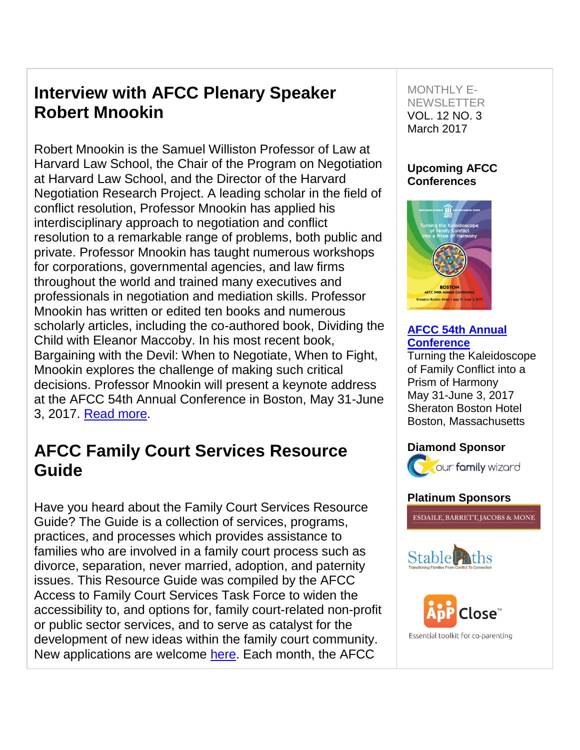# **Interview with AFCC Plenary Speaker Robert Mnookin**

Robert Mnookin is the Samuel Williston Professor of Law at Harvard Law School, the Chair of the Program on Negotiation at Harvard Law School, and the Director of the Harvard Negotiation Research Project. A leading scholar in the field of conflict resolution, Professor Mnookin has applied his interdisciplinary approach to negotiation and conflict resolution to a remarkable range of problems, both public and private. Professor Mnookin has taught numerous workshops for corporations, governmental agencies, and law firms throughout the world and trained many executives and professionals in negotiation and mediation skills. Professor Mnookin has written or edited ten books and numerous scholarly articles, including the co-authored book, Dividing the Child with Eleanor Maccoby. In his most recent book, Bargaining with the Devil: When to Negotiate, When to Fight, Mnookin explores the challenge of making such critical decisions. Professor Mnookin will present a keynote address at the AFCC 54th Annual Conference in Boston, May 31-June 3, 2017. [Read more.](http://afcc.networkats.com/members_online/utilities/emailct.asp?54181c0448a78f15ce8600c0f83afd2ce2448aebd867c344ab30d6523d175721a2c6e6557db32b1b)

## **AFCC Family Court Services Resource Guide**

Have you heard about the Family Court Services Resource Guide? The Guide is a collection of services, programs, practices, and processes which provides assistance to families who are involved in a family court process such as divorce, separation, never married, adoption, and paternity issues. This Resource Guide was compiled by the AFCC Access to Family Court Services Task Force to widen the accessibility to, and options for, family court-related non-profit or public sector services, and to serve as catalyst for the development of new ideas within the family court community. New applications are welcome [here.](http://afcc.networkats.com/members_online/utilities/emailct.asp?a2bfbb2f6b7503b66920ebabe0d1988636000345d867c344ab30d6523d175721a2c6e6557db32b1b) Each month, the AFCC

### MONTHLY E-**NEWSLETTER** VOL. 12 NO. 3 March 2017

## **Upcoming AFCC Conferences**



### **[AFCC 54th Annual](http://afcc.networkats.com/members_online/utilities/emailct.asp?208ddfd99419d802309295819b0f318cc18d28a1d867c344ab30d6523d175721a2c6e6557db32b1b)  [Conference](http://afcc.networkats.com/members_online/utilities/emailct.asp?208ddfd99419d802309295819b0f318cc18d28a1d867c344ab30d6523d175721a2c6e6557db32b1b)**

Turning the Kaleidoscope of Family Conflict into a Prism of Harmony May 31-June 3, 2017 Sheraton Boston Hotel Boston, Massachusetts

## **Diamond Sponsor**



## **Platinum Sponsors**

**ESDAILE, BARRETT, JACOBS & MONE** 



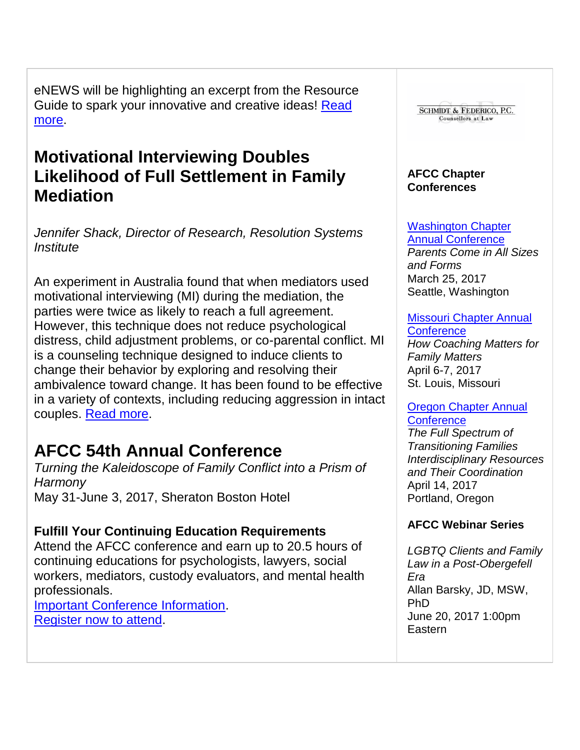eNEWS will be highlighting an excerpt from the Resource Guide to spark your innovative and creative ideas! Read [more.](http://afcc.networkats.com/members_online/utilities/emailct.asp?00074b8e3ef32e979d2fc08433b22ab98281af5fd867c344ab30d6523d175721a2c6e6557db32b1b)

# **Motivational Interviewing Doubles Likelihood of Full Settlement in Family Mediation**

*Jennifer Shack, Director of Research, Resolution Systems Institute*

An experiment in Australia found that when mediators used motivational interviewing (MI) during the mediation, the parties were twice as likely to reach a full agreement. However, this technique does not reduce psychological distress, child adjustment problems, or co-parental conflict. MI is a counseling technique designed to induce clients to change their behavior by exploring and resolving their ambivalence toward change. It has been found to be effective in a variety of contexts, including reducing aggression in intact couples. [Read more.](http://afcc.networkats.com/members_online/utilities/emailct.asp?6ac5f5ab2686230ef77c12ba0de66fe2c0ee6881d867c344ab30d6523d175721a2c6e6557db32b1b)

# **AFCC 54th Annual Conference**

*Turning the Kaleidoscope of Family Conflict into a Prism of Harmony* May 31-June 3, 2017, Sheraton Boston Hotel

## **Fulfill Your Continuing Education Requirements**

Attend the AFCC conference and earn up to 20.5 hours of continuing educations for psychologists, lawyers, social workers, mediators, custody evaluators, and mental health professionals.

[Important Conference Information.](http://afcc.networkats.com/members_online/utilities/emailct.asp?7b345d671d317ad20b24b134d9ea16e2577e0d16d867c344ab30d6523d175721a2c6e6557db32b1b) [Register now to attend.](http://afcc.networkats.com/members_online/utilities/emailct.asp?e8f8fd2b6bb4bc165fcc25f1ebfb8ff94a8111c3d867c344ab30d6523d175721a2c6e6557db32b1b)



### **AFCC Webinar Series**

*LGBTQ Clients and Family Law in a Post-Obergefell Era* Allan Barsky, JD, MSW, PhD June 20, 2017 1:00pm **Eastern**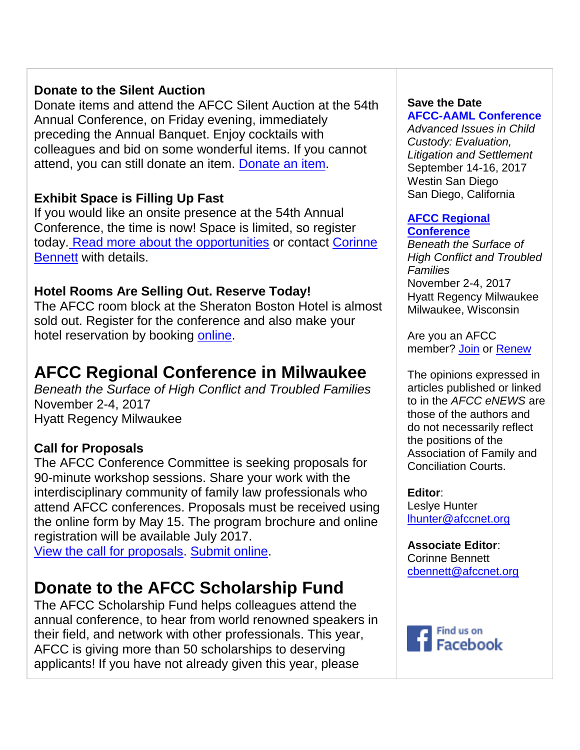## **Donate to the Silent Auction**

Donate items and attend the AFCC Silent Auction at the 54th Annual Conference, on Friday evening, immediately preceding the Annual Banquet. Enjoy cocktails with colleagues and bid on some wonderful items. If you cannot attend, you can still donate an item. [Donate an item.](http://afcc.networkats.com/members_online/utilities/emailct.asp?b87b689b720d381606a36c27fd626744ece99de6d867c344ab30d6523d175721a2c6e6557db32b1b)

## **Exhibit Space is Filling Up Fast**

If you would like an onsite presence at the 54th Annual Conference, the time is now! Space is limited, so register today. [Read more about the opportunities](http://afcc.networkats.com/members_online/utilities/emailct.asp?96a42d94484a554f6219e8aa256884684dd61371d867c344ab30d6523d175721a2c6e6557db32b1b) or contact [Corinne](mailto:cbennett@afccnet.org)  [Bennett](mailto:cbennett@afccnet.org) with details.

## **Hotel Rooms Are Selling Out. Reserve Today!**

The AFCC room block at the Sheraton Boston Hotel is almost sold out. Register for the conference and also make your hotel reservation by booking [online.](http://afcc.networkats.com/members_online/utilities/emailct.asp?772af7c8d127bc91b599b7145f415800bb5631d5d867c344ab30d6523d175721a2c6e6557db32b1b)

# **AFCC Regional Conference in Milwaukee**

*Beneath the Surface of High Conflict and Troubled Families* November 2-4, 2017 Hyatt Regency Milwaukee

## **Call for Proposals**

The AFCC Conference Committee is seeking proposals for 90-minute workshop sessions. Share your work with the interdisciplinary community of family law professionals who attend AFCC conferences. Proposals must be received using the online form by May 15. The program brochure and online registration will be available July 2017.

[View the call for proposals.](http://afcc.networkats.com/members_online/utilities/emailct.asp?5f1f6d0ac3a5dc1a13ed8cfd536679f71d38abf7d867c344ab30d6523d175721a2c6e6557db32b1b) [Submit online.](http://afcc.networkats.com/members_online/utilities/emailct.asp?99c9476a31c61f8ba2001473b3372a4718662ab9d867c344ab30d6523d175721a2c6e6557db32b1b)

# **Donate to the AFCC Scholarship Fund**

The AFCC Scholarship Fund helps colleagues attend the annual conference, to hear from world renowned speakers in their field, and network with other professionals. This year, AFCC is giving more than 50 scholarships to deserving applicants! If you have not already given this year, please

## **Save the Date**

**[AFCC-AAML Conference](http://afcc.networkats.com/members_online/utilities/emailct.asp?ac261856da14a27e76593c595917053ef99dc1d8d867c344ab30d6523d175721a2c6e6557db32b1b)** *Advanced Issues in Child Custody: Evaluation, Litigation and Settlement*  September 14-16, 2017 Westin San Diego San Diego, California

### **[AFCC Regional](http://afcc.networkats.com/members_online/utilities/emailct.asp?fe144126f5b01cc255127f8e03493b7b41293195d867c344ab30d6523d175721a2c6e6557db32b1b)  [Conference](http://afcc.networkats.com/members_online/utilities/emailct.asp?fe144126f5b01cc255127f8e03493b7b41293195d867c344ab30d6523d175721a2c6e6557db32b1b)**

*Beneath the Surface of High Conflict and Troubled Families* November 2-4, 2017 Hyatt Regency Milwaukee Milwaukee, Wisconsin

Are you an AFCC member? [Join](http://afcc.networkats.com/members_online/utilities/emailct.asp?11864a26b6dda11dd99a02ea328cf3e161f4dcddd867c344ab30d6523d175721a2c6e6557db32b1b) or [Renew](http://afcc.networkats.com/members_online/utilities/emailct.asp?b490008491c1be9e9eb309a92af22ef4517976f3d867c344ab30d6523d175721a2c6e6557db32b1b)

The opinions expressed in articles published or linked to in the *AFCC eNEWS* are those of the authors and do not necessarily reflect the positions of the Association of Family and Conciliation Courts.

**Editor**: Leslye Hunter [lhunter@afccnet.org](mailto:lhunter@afccnet.org)

**Associate Editor**: Corinne Bennett [cbennett@afccnet.org](http://afcc.networkats.com/members_online/utilities/emailct.asp?847ec5156a402c2fe76fd360250ccf8ca9cfef4dd867c344ab30d6523d175721a2c6e6557db32b1b) 

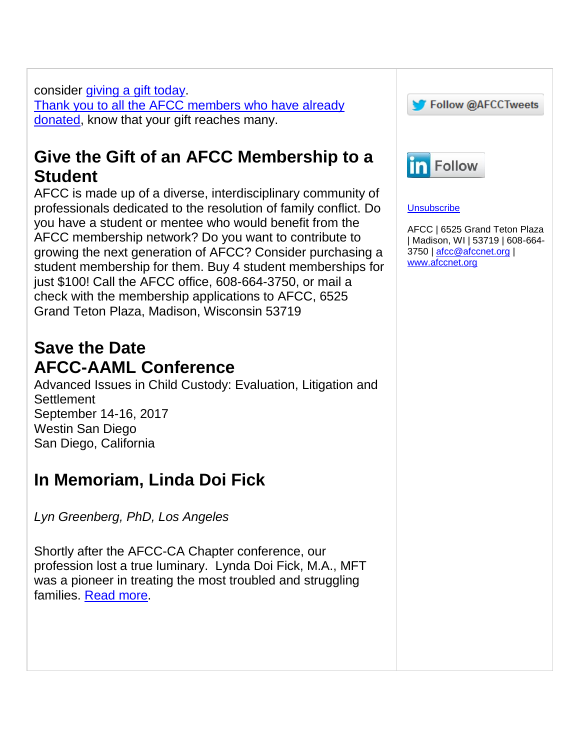consider [giving a gift today.](http://afcc.networkats.com/members_online/utilities/emailct.asp?d551824ed7a0463ec9fe372c4ae7d58453e37f9ad867c344ab30d6523d175721a2c6e6557db32b1b) [Thank you to all the AFCC members who have already](http://afcc.networkats.com/members_online/utilities/emailct.asp?2165dbd66cb0f492641ca340bc3237096385d162d867c344ab30d6523d175721a2c6e6557db32b1b)  [donated,](http://afcc.networkats.com/members_online/utilities/emailct.asp?2165dbd66cb0f492641ca340bc3237096385d162d867c344ab30d6523d175721a2c6e6557db32b1b) know that your gift reaches many.

# **Give the Gift of an AFCC Membership to a Student**

AFCC is made up of a diverse, interdisciplinary community of professionals dedicated to the resolution of family conflict. Do you have a student or mentee who would benefit from the AFCC membership network? Do you want to contribute to growing the next generation of AFCC? Consider purchasing a student membership for them. Buy 4 student memberships for just \$100! Call the AFCC office, 608-664-3750, or mail a check with the membership applications to AFCC, 6525 Grand Teton Plaza, Madison, Wisconsin 53719

# **Save the Date AFCC-AAML Conference**

Advanced Issues in Child Custody: Evaluation, Litigation and **Settlement** September 14-16, 2017 Westin San Diego San Diego, California

# **In Memoriam, Linda Doi Fic[k](http://afcc.networkats.com/members_online/utilities/emailct.asp?c2bf3b98fd6500468b333de8e97ce0ccf140f830d867c344ab30d6523d175721a2c6e6557db32b1b)**

*Lyn Greenberg, PhD, Los Angeles*

Shortly after the AFCC-CA Chapter conference, our profession lost a true luminary. Lynda Doi Fick, M.A., MFT was a pioneer in treating the most troubled and struggling families. [Read more.](http://afcc.networkats.com/members_online/utilities/emailct.asp?c2bf3b98fd6500468b333de8e97ce0ccf140f830d867c344ab30d6523d175721a2c6e6557db32b1b)



### **[Unsubscribe](mailto:afcc@afccnet.org%20?subject=Unsubscribe)**

AFCC | 6525 Grand Teton Plaza | Madison, WI | 53719 | 608-664- 3750 | [afcc@afccnet.org](mailto:afcc@afccnet.org) | [www.afccnet.org](http://afcc.networkats.com/members_online/utilities/emailct.asp?fc61c7bebe161ee9a12836a622e87c24b41ad25cd867c344ab30d6523d175721a2c6e6557db32b1b)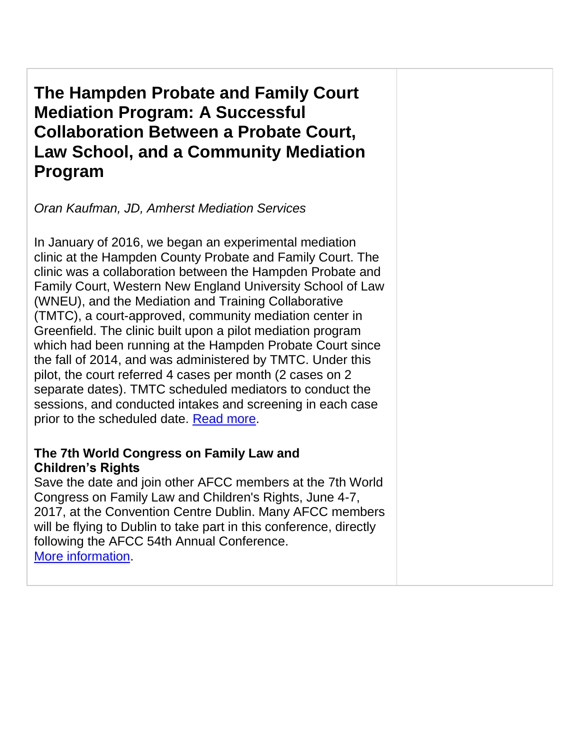**The Hampden Probate and Family Court Mediation Program: A Successful Collaboration Between a Probate Court, Law School, and a Community Mediation Program**

*Oran Kaufman, JD, Amherst Mediation Services*

In January of 2016, we began an experimental mediation clinic at the Hampden County Probate and Family Court. The clinic was a collaboration between the Hampden Probate and Family Court, Western New England University School of Law (WNEU), and the Mediation and Training Collaborative (TMTC), a court-approved, community mediation center in Greenfield. The clinic built upon a pilot mediation program which had been running at the Hampden Probate Court since the fall of 2014, and was administered by TMTC. Under this pilot, the court referred 4 cases per month (2 cases on 2 separate dates). TMTC scheduled mediators to conduct the sessions, and conducted intakes and screening in each case prior to the scheduled date. [Read more.](http://afcc.networkats.com/members_online/utilities/emailct.asp?dd09592e46e3b5952ec77cef9416ff589a4c8985d867c344ab30d6523d175721a2c6e6557db32b1b)

## **The 7th World Congress on Family Law and Children's Rights**

Save the date and join other AFCC members at the 7th World Congress on Family Law and Children's Rights, June 4-7, 2017, at the Convention Centre Dublin. Many AFCC members will be flying to Dublin to take part in this conference, directly following the AFCC 54th Annual Conference. [More information.](http://afcc.networkats.com/members_online/utilities/emailct.asp?c16c07cdab629b125ef9ce19fb4834bfd608fbf7d867c344ab30d6523d175721a2c6e6557db32b1b)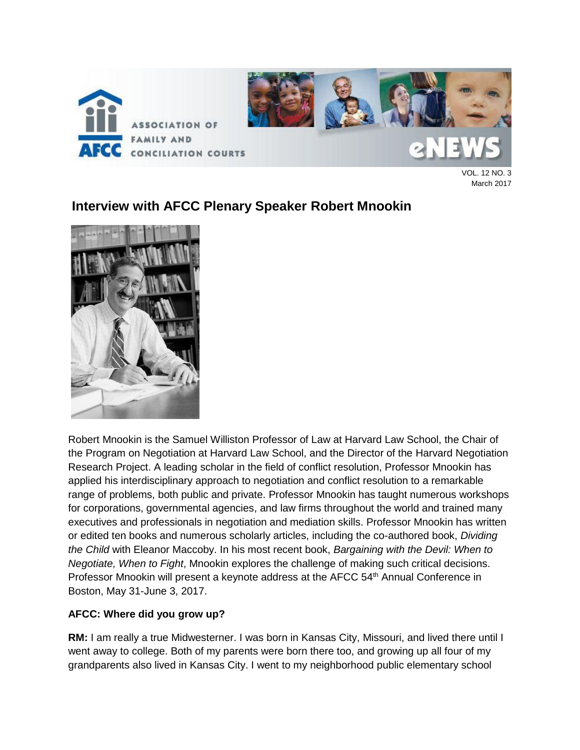

VOL. 12 NO. 3 March 2017

## **Interview with AFCC Plenary Speaker Robert Mnookin**



Robert Mnookin is the Samuel Williston Professor of Law at Harvard Law School, the Chair of the Program on Negotiation at Harvard Law School, and the Director of the Harvard Negotiation Research Project. A leading scholar in the field of conflict resolution, Professor Mnookin has applied his interdisciplinary approach to negotiation and conflict resolution to a remarkable range of problems, both public and private. Professor Mnookin has taught numerous workshops for corporations, governmental agencies, and law firms throughout the world and trained many executives and professionals in negotiation and mediation skills. Professor Mnookin has written or edited ten books and numerous scholarly articles, including the co-authored book, *Dividing the Child* with Eleanor Maccoby. In his most recent book, *Bargaining with the Devil: When to Negotiate, When to Fight*, Mnookin explores the challenge of making such critical decisions. Professor Mnookin will present a keynote address at the AFCC 54<sup>th</sup> Annual Conference in Boston, May 31-June 3, 2017.

### **AFCC: Where did you grow up?**

**RM:** I am really a true Midwesterner. I was born in Kansas City, Missouri, and lived there until I went away to college. Both of my parents were born there too, and growing up all four of my grandparents also lived in Kansas City. I went to my neighborhood public elementary school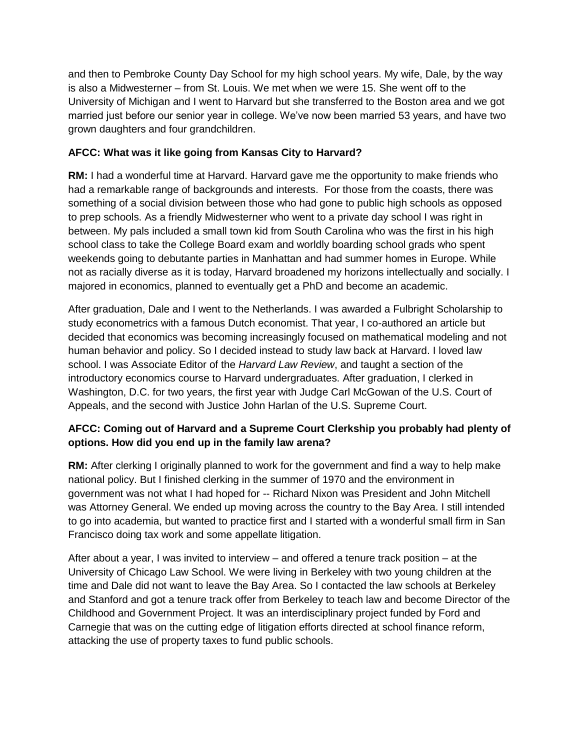and then to Pembroke County Day School for my high school years. My wife, Dale, by the way is also a Midwesterner – from St. Louis. We met when we were 15. She went off to the University of Michigan and I went to Harvard but she transferred to the Boston area and we got married just before our senior year in college. We've now been married 53 years, and have two grown daughters and four grandchildren.

### **AFCC: What was it like going from Kansas City to Harvard?**

**RM:** I had a wonderful time at Harvard. Harvard gave me the opportunity to make friends who had a remarkable range of backgrounds and interests. For those from the coasts, there was something of a social division between those who had gone to public high schools as opposed to prep schools. As a friendly Midwesterner who went to a private day school I was right in between. My pals included a small town kid from South Carolina who was the first in his high school class to take the College Board exam and worldly boarding school grads who spent weekends going to debutante parties in Manhattan and had summer homes in Europe. While not as racially diverse as it is today, Harvard broadened my horizons intellectually and socially. I majored in economics, planned to eventually get a PhD and become an academic.

After graduation, Dale and I went to the Netherlands. I was awarded a Fulbright Scholarship to study econometrics with a famous Dutch economist. That year, I co-authored an article but decided that economics was becoming increasingly focused on mathematical modeling and not human behavior and policy. So I decided instead to study law back at Harvard. I loved law school. I was Associate Editor of the *Harvard Law Review*, and taught a section of the introductory economics course to Harvard undergraduates. After graduation, I clerked in Washington, D.C. for two years, the first year with Judge Carl McGowan of the U.S. Court of Appeals, and the second with Justice John Harlan of the U.S. Supreme Court.

### **AFCC: Coming out of Harvard and a Supreme Court Clerkship you probably had plenty of options. How did you end up in the family law arena?**

**RM:** After clerking I originally planned to work for the government and find a way to help make national policy. But I finished clerking in the summer of 1970 and the environment in government was not what I had hoped for -- Richard Nixon was President and John Mitchell was Attorney General. We ended up moving across the country to the Bay Area. I still intended to go into academia, but wanted to practice first and I started with a wonderful small firm in San Francisco doing tax work and some appellate litigation.

After about a year, I was invited to interview – and offered a tenure track position – at the University of Chicago Law School. We were living in Berkeley with two young children at the time and Dale did not want to leave the Bay Area. So I contacted the law schools at Berkeley and Stanford and got a tenure track offer from Berkeley to teach law and become Director of the Childhood and Government Project. It was an interdisciplinary project funded by Ford and Carnegie that was on the cutting edge of litigation efforts directed at school finance reform, attacking the use of property taxes to fund public schools.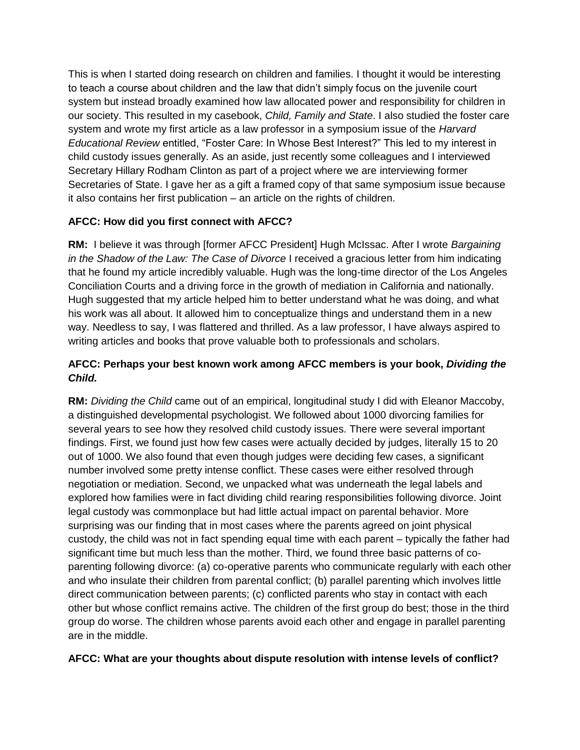This is when I started doing research on children and families. I thought it would be interesting to teach a course about children and the law that didn't simply focus on the juvenile court system but instead broadly examined how law allocated power and responsibility for children in our society. This resulted in my casebook, *Child, Family and State*. I also studied the foster care system and wrote my first article as a law professor in a symposium issue of the *Harvard Educational Review* entitled, "Foster Care: In Whose Best Interest?" This led to my interest in child custody issues generally. As an aside, just recently some colleagues and I interviewed Secretary Hillary Rodham Clinton as part of a project where we are interviewing former Secretaries of State. I gave her as a gift a framed copy of that same symposium issue because it also contains her first publication – an article on the rights of children.

### **AFCC: How did you first connect with AFCC?**

**RM:** I believe it was through [former AFCC President] Hugh McIssac. After I wrote *Bargaining in the Shadow of the Law: The Case of Divorce* I received a gracious letter from him indicating that he found my article incredibly valuable. Hugh was the long-time director of the Los Angeles Conciliation Courts and a driving force in the growth of mediation in California and nationally. Hugh suggested that my article helped him to better understand what he was doing, and what his work was all about. It allowed him to conceptualize things and understand them in a new way. Needless to say, I was flattered and thrilled. As a law professor, I have always aspired to writing articles and books that prove valuable both to professionals and scholars.

### **AFCC: Perhaps your best known work among AFCC members is your book,** *Dividing the Child.*

**RM:** *Dividing the Child* came out of an empirical, longitudinal study I did with Eleanor Maccoby, a distinguished developmental psychologist. We followed about 1000 divorcing families for several years to see how they resolved child custody issues. There were several important findings. First, we found just how few cases were actually decided by judges, literally 15 to 20 out of 1000. We also found that even though judges were deciding few cases, a significant number involved some pretty intense conflict. These cases were either resolved through negotiation or mediation. Second, we unpacked what was underneath the legal labels and explored how families were in fact dividing child rearing responsibilities following divorce. Joint legal custody was commonplace but had little actual impact on parental behavior. More surprising was our finding that in most cases where the parents agreed on joint physical custody, the child was not in fact spending equal time with each parent – typically the father had significant time but much less than the mother. Third, we found three basic patterns of coparenting following divorce: (a) co-operative parents who communicate regularly with each other and who insulate their children from parental conflict; (b) parallel parenting which involves little direct communication between parents; (c) conflicted parents who stay in contact with each other but whose conflict remains active. The children of the first group do best; those in the third group do worse. The children whose parents avoid each other and engage in parallel parenting are in the middle.

#### **AFCC: What are your thoughts about dispute resolution with intense levels of conflict?**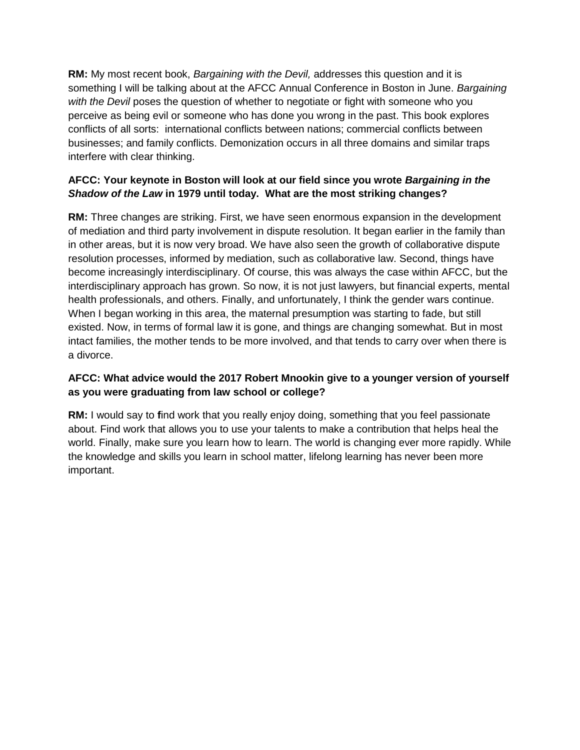**RM:** My most recent book, *Bargaining with the Devil,* addresses this question and it is something I will be talking about at the AFCC Annual Conference in Boston in June. *Bargaining with the Devil* poses the question of whether to negotiate or fight with someone who you perceive as being evil or someone who has done you wrong in the past. This book explores conflicts of all sorts: international conflicts between nations; commercial conflicts between businesses; and family conflicts. Demonization occurs in all three domains and similar traps interfere with clear thinking.

### **AFCC: Your keynote in Boston will look at our field since you wrote** *Bargaining in the Shadow of the Law* **in 1979 until today. What are the most striking changes?**

**RM:** Three changes are striking. First, we have seen enormous expansion in the development of mediation and third party involvement in dispute resolution. It began earlier in the family than in other areas, but it is now very broad. We have also seen the growth of collaborative dispute resolution processes, informed by mediation, such as collaborative law. Second, things have become increasingly interdisciplinary. Of course, this was always the case within AFCC, but the interdisciplinary approach has grown. So now, it is not just lawyers, but financial experts, mental health professionals, and others. Finally, and unfortunately, I think the gender wars continue. When I began working in this area, the maternal presumption was starting to fade, but still existed. Now, in terms of formal law it is gone, and things are changing somewhat. But in most intact families, the mother tends to be more involved, and that tends to carry over when there is a divorce.

### **AFCC: What advice would the 2017 Robert Mnookin give to a younger version of yourself as you were graduating from law school or college?**

**RM:** I would say to **f**ind work that you really enjoy doing, something that you feel passionate about. Find work that allows you to use your talents to make a contribution that helps heal the world. Finally, make sure you learn how to learn. The world is changing ever more rapidly. While the knowledge and skills you learn in school matter, lifelong learning has never been more important.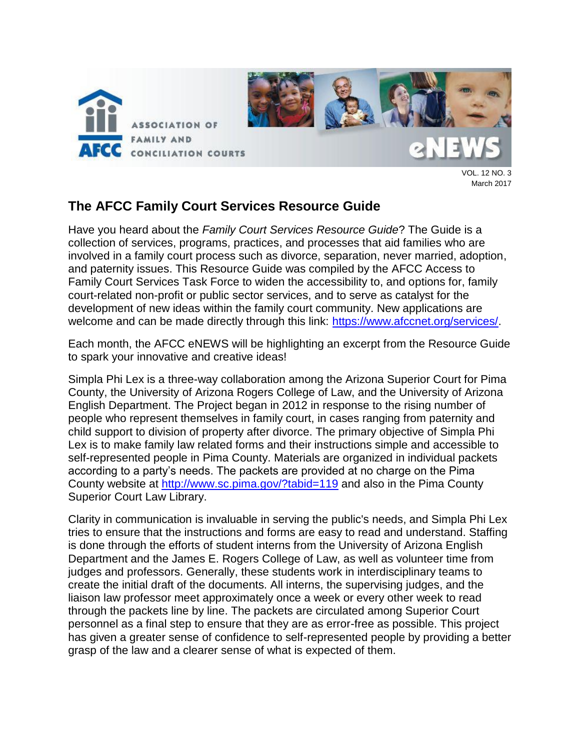

March 2017

## **The AFCC Family Court Services Resource Guide**

Have you heard about the *Family Court Services Resource Guide*? The Guide is a collection of services, programs, practices, and processes that aid families who are involved in a family court process such as divorce, separation, never married, adoption, and paternity issues. This Resource Guide was compiled by the AFCC Access to Family Court Services Task Force to widen the accessibility to, and options for, family court-related non-profit or public sector services, and to serve as catalyst for the development of new ideas within the family court community. New applications are welcome and can be made directly through this link: [https://www.afccnet.org/services/.](https://www.afccnet.org/services/)

Each month, the AFCC eNEWS will be highlighting an excerpt from the Resource Guide to spark your innovative and creative ideas!

Simpla Phi Lex is a three-way collaboration among the Arizona Superior Court for Pima County, the University of Arizona Rogers College of Law, and the University of Arizona English Department. The Project began in 2012 in response to the rising number of people who represent themselves in family court, in cases ranging from paternity and child support to division of property after divorce. The primary objective of Simpla Phi Lex is to make family law related forms and their instructions simple and accessible to self-represented people in Pima County. Materials are organized in individual packets according to a party's needs. The packets are provided at no charge on the Pima County website at [http://www.sc.pima.gov/?tabid=119](http://www.sc.pima.gov/?tabid=119%20) and also in the Pima County Superior Court Law Library.

Clarity in communication is invaluable in serving the public's needs, and Simpla Phi Lex tries to ensure that the instructions and forms are easy to read and understand. Staffing is done through the efforts of student interns from the University of Arizona English Department and the James E. Rogers College of Law, as well as volunteer time from judges and professors. Generally, these students work in interdisciplinary teams to create the initial draft of the documents. All interns, the supervising judges, and the liaison law professor meet approximately once a week or every other week to read through the packets line by line. The packets are circulated among Superior Court personnel as a final step to ensure that they are as error-free as possible. This project has given a greater sense of confidence to self-represented people by providing a better grasp of the law and a clearer sense of what is expected of them.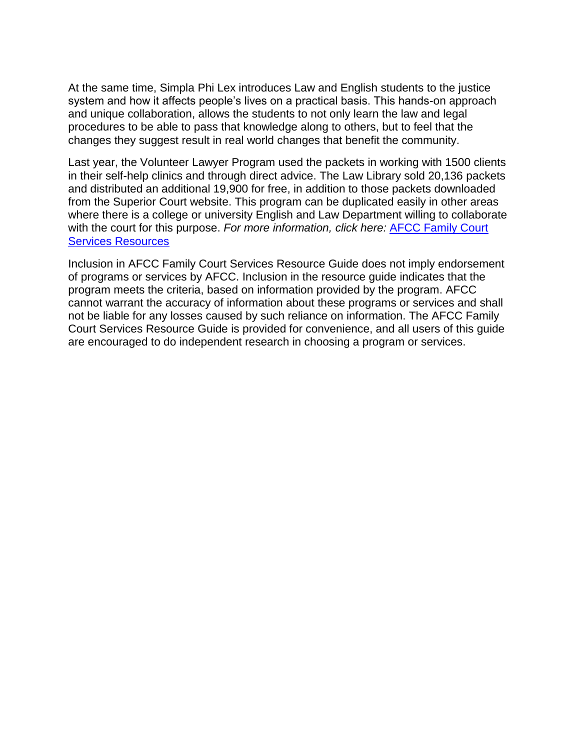At the same time, Simpla Phi Lex introduces Law and English students to the justice system and how it affects people's lives on a practical basis. This hands-on approach and unique collaboration, allows the students to not only learn the law and legal procedures to be able to pass that knowledge along to others, but to feel that the changes they suggest result in real world changes that benefit the community.

Last year, the Volunteer Lawyer Program used the packets in working with 1500 clients in their self-help clinics and through direct advice. The Law Library sold 20,136 packets and distributed an additional 19,900 for free, in addition to those packets downloaded from the Superior Court website. This program can be duplicated easily in other areas where there is a college or university English and Law Department willing to collaborate with the court for this purpose. *For more information, click here:* [AFCC Family Court](http://www.afccnet.org/services/AFCC-Family-Court-Services-Resource/ctl/ViewService/csid/c83d67d3-5439-4fce-98c2-57e03ebb7b9d/mid/766)  [Services Resources](http://www.afccnet.org/services/AFCC-Family-Court-Services-Resource/ctl/ViewService/csid/c83d67d3-5439-4fce-98c2-57e03ebb7b9d/mid/766) 

Inclusion in AFCC Family Court Services Resource Guide does not imply endorsement of programs or services by AFCC. Inclusion in the resource guide indicates that the program meets the criteria, based on information provided by the program. AFCC cannot warrant the accuracy of information about these programs or services and shall not be liable for any losses caused by such reliance on information. The AFCC Family Court Services Resource Guide is provided for convenience, and all users of this guide are encouraged to do independent research in choosing a program or services.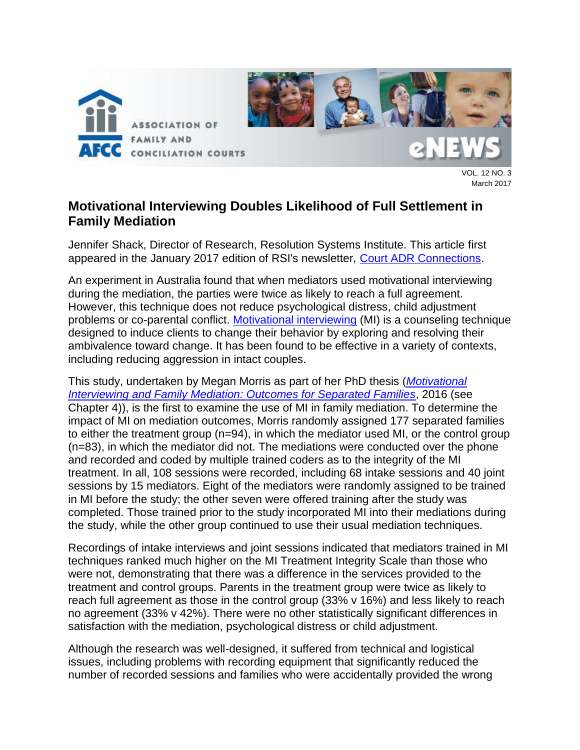

VOL. 12 NO. 3 March 2017

## **Motivational Interviewing Doubles Likelihood of Full Settlement in Family Mediation**

Jennifer Shack, Director of Research, Resolution Systems Institute. This article first appeared in the January 2017 edition of RSI's newsletter, [Court ADR Connections.](http://www.aboutrsi.org/pfimages/Connection%20January2017.pdf)

An experiment in Australia found that when mediators used motivational interviewing during the mediation, the parties were twice as likely to reach a full agreement. However, this technique does not reduce psychological distress, child adjustment problems or co-parental conflict. [Motivational interviewing](http://www.motivationalinterviewing.org/) (MI) is a counseling technique designed to induce clients to change their behavior by exploring and resolving their ambivalence toward change. It has been found to be effective in a variety of contexts, including reducing aggression in intact couples.

This study, undertaken by Megan Morris as part of her PhD thesis (*[Motivational](file:///C:/Users/RCC/Documents/Resource%20Center%20Director/Court%20ADR%20Connection/January%202017/espace.library.uq.edu.au/view/UQ:409715/s4253088_phd_thesis.pdf)  [Interviewing and Family Mediation: Outcomes for Separated Families](file:///C:/Users/RCC/Documents/Resource%20Center%20Director/Court%20ADR%20Connection/January%202017/espace.library.uq.edu.au/view/UQ:409715/s4253088_phd_thesis.pdf)*, 2016 (see Chapter 4)), is the first to examine the use of MI in family mediation. To determine the impact of MI on mediation outcomes, Morris randomly assigned 177 separated families to either the treatment group (n=94), in which the mediator used MI, or the control group (n=83), in which the mediator did not. The mediations were conducted over the phone and recorded and coded by multiple trained coders as to the integrity of the MI treatment. In all, 108 sessions were recorded, including 68 intake sessions and 40 joint sessions by 15 mediators. Eight of the mediators were randomly assigned to be trained in MI before the study; the other seven were offered training after the study was completed. Those trained prior to the study incorporated MI into their mediations during the study, while the other group continued to use their usual mediation techniques.

Recordings of intake interviews and joint sessions indicated that mediators trained in MI techniques ranked much higher on the MI Treatment Integrity Scale than those who were not, demonstrating that there was a difference in the services provided to the treatment and control groups. Parents in the treatment group were twice as likely to reach full agreement as those in the control group (33% v 16%) and less likely to reach no agreement (33% v 42%). There were no other statistically significant differences in satisfaction with the mediation, psychological distress or child adjustment.

Although the research was well-designed, it suffered from technical and logistical issues, including problems with recording equipment that significantly reduced the number of recorded sessions and families who were accidentally provided the wrong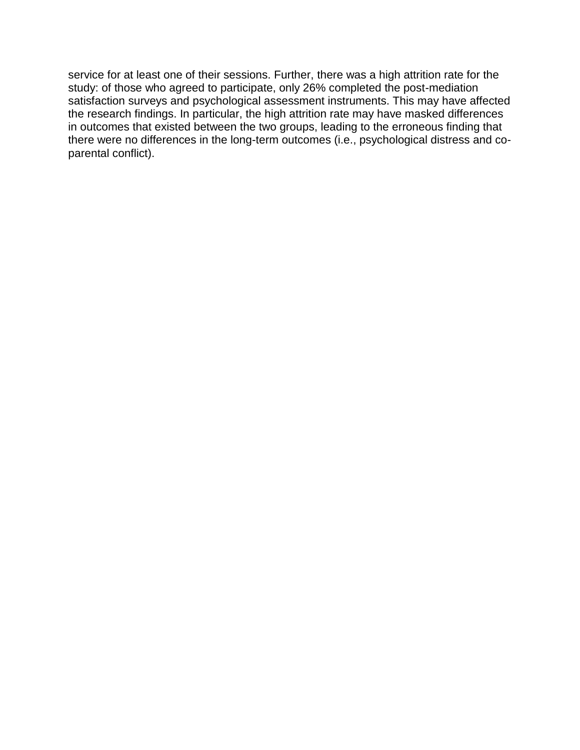service for at least one of their sessions. Further, there was a high attrition rate for the study: of those who agreed to participate, only 26% completed the post-mediation satisfaction surveys and psychological assessment instruments. This may have affected the research findings. In particular, the high attrition rate may have masked differences in outcomes that existed between the two groups, leading to the erroneous finding that there were no differences in the long-term outcomes (i.e., psychological distress and coparental conflict).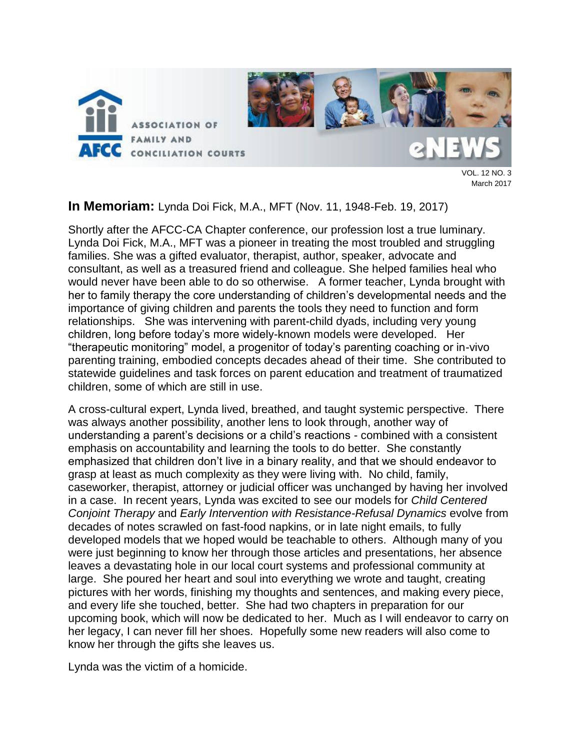

March 2017

### **In Memoriam:** Lynda Doi Fick, M.A., MFT (Nov. 11, 1948-Feb. 19, 2017)

Shortly after the AFCC-CA Chapter conference, our profession lost a true luminary. Lynda Doi Fick, M.A., MFT was a pioneer in treating the most troubled and struggling families. She was a gifted evaluator, therapist, author, speaker, advocate and consultant, as well as a treasured friend and colleague. She helped families heal who would never have been able to do so otherwise. A former teacher, Lynda brought with her to family therapy the core understanding of children's developmental needs and the importance of giving children and parents the tools they need to function and form relationships. She was intervening with parent-child dyads, including very young children, long before today's more widely-known models were developed. Her "therapeutic monitoring" model, a progenitor of today's parenting coaching or in-vivo parenting training, embodied concepts decades ahead of their time. She contributed to statewide guidelines and task forces on parent education and treatment of traumatized children, some of which are still in use.

A cross-cultural expert, Lynda lived, breathed, and taught systemic perspective. There was always another possibility, another lens to look through, another way of understanding a parent's decisions or a child's reactions - combined with a consistent emphasis on accountability and learning the tools to do better. She constantly emphasized that children don't live in a binary reality, and that we should endeavor to grasp at least as much complexity as they were living with. No child, family, caseworker, therapist, attorney or judicial officer was unchanged by having her involved in a case. In recent years, Lynda was excited to see our models for *Child Centered Conjoint Therapy* and *Early Intervention with Resistance-Refusal Dynamics* evolve from decades of notes scrawled on fast-food napkins, or in late night emails, to fully developed models that we hoped would be teachable to others. Although many of you were just beginning to know her through those articles and presentations, her absence leaves a devastating hole in our local court systems and professional community at large. She poured her heart and soul into everything we wrote and taught, creating pictures with her words, finishing my thoughts and sentences, and making every piece, and every life she touched, better. She had two chapters in preparation for our upcoming book, which will now be dedicated to her. Much as I will endeavor to carry on her legacy, I can never fill her shoes. Hopefully some new readers will also come to know her through the gifts she leaves us.

Lynda was the victim of a homicide.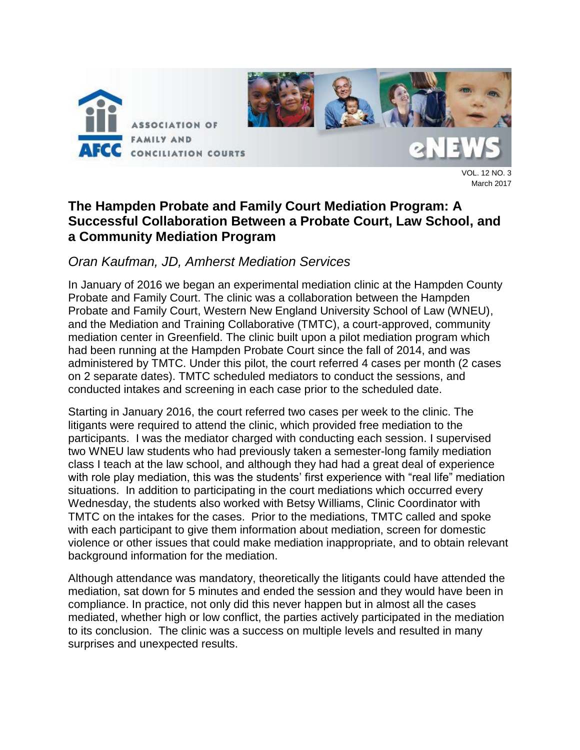

VOL. 12 NO. 3 March 2017

## **The Hampden Probate and Family Court Mediation Program: A Successful Collaboration Between a Probate Court, Law School, and a Community Mediation Program**

## *Oran Kaufman, JD, Amherst Mediation Services*

In January of 2016 we began an experimental mediation clinic at the Hampden County Probate and Family Court. The clinic was a collaboration between the Hampden Probate and Family Court, Western New England University School of Law (WNEU), and the Mediation and Training Collaborative (TMTC), a court-approved, community mediation center in Greenfield. The clinic built upon a pilot mediation program which had been running at the Hampden Probate Court since the fall of 2014, and was administered by TMTC. Under this pilot, the court referred 4 cases per month (2 cases on 2 separate dates). TMTC scheduled mediators to conduct the sessions, and conducted intakes and screening in each case prior to the scheduled date.

Starting in January 2016, the court referred two cases per week to the clinic. The litigants were required to attend the clinic, which provided free mediation to the participants. I was the mediator charged with conducting each session. I supervised two WNEU law students who had previously taken a semester-long family mediation class I teach at the law school, and although they had had a great deal of experience with role play mediation, this was the students' first experience with "real life" mediation situations. In addition to participating in the court mediations which occurred every Wednesday, the students also worked with Betsy Williams, Clinic Coordinator with TMTC on the intakes for the cases. Prior to the mediations, TMTC called and spoke with each participant to give them information about mediation, screen for domestic violence or other issues that could make mediation inappropriate, and to obtain relevant background information for the mediation.

Although attendance was mandatory, theoretically the litigants could have attended the mediation, sat down for 5 minutes and ended the session and they would have been in compliance. In practice, not only did this never happen but in almost all the cases mediated, whether high or low conflict, the parties actively participated in the mediation to its conclusion. The clinic was a success on multiple levels and resulted in many surprises and unexpected results.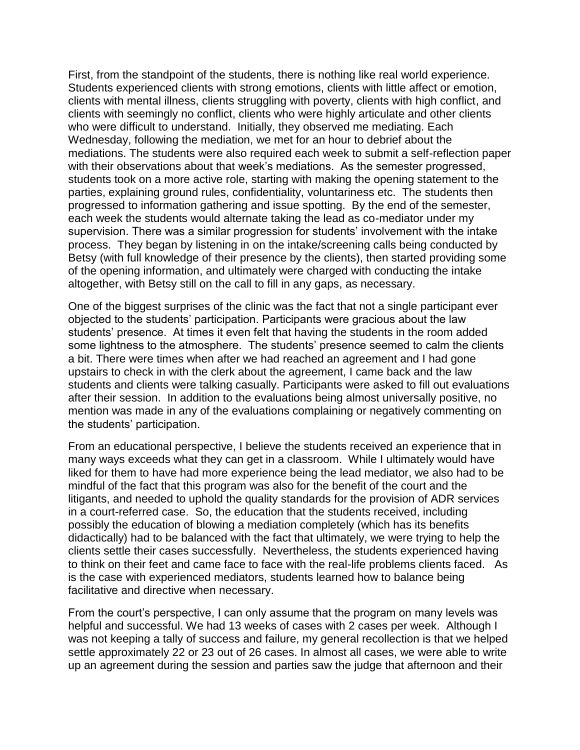First, from the standpoint of the students, there is nothing like real world experience. Students experienced clients with strong emotions, clients with little affect or emotion, clients with mental illness, clients struggling with poverty, clients with high conflict, and clients with seemingly no conflict, clients who were highly articulate and other clients who were difficult to understand. Initially, they observed me mediating. Each Wednesday, following the mediation, we met for an hour to debrief about the mediations. The students were also required each week to submit a self-reflection paper with their observations about that week's mediations. As the semester progressed, students took on a more active role, starting with making the opening statement to the parties, explaining ground rules, confidentiality, voluntariness etc. The students then progressed to information gathering and issue spotting. By the end of the semester, each week the students would alternate taking the lead as co-mediator under my supervision. There was a similar progression for students' involvement with the intake process. They began by listening in on the intake/screening calls being conducted by Betsy (with full knowledge of their presence by the clients), then started providing some of the opening information, and ultimately were charged with conducting the intake altogether, with Betsy still on the call to fill in any gaps, as necessary.

One of the biggest surprises of the clinic was the fact that not a single participant ever objected to the students' participation. Participants were gracious about the law students' presence. At times it even felt that having the students in the room added some lightness to the atmosphere. The students' presence seemed to calm the clients a bit. There were times when after we had reached an agreement and I had gone upstairs to check in with the clerk about the agreement, I came back and the law students and clients were talking casually. Participants were asked to fill out evaluations after their session. In addition to the evaluations being almost universally positive, no mention was made in any of the evaluations complaining or negatively commenting on the students' participation.

From an educational perspective, I believe the students received an experience that in many ways exceeds what they can get in a classroom. While I ultimately would have liked for them to have had more experience being the lead mediator, we also had to be mindful of the fact that this program was also for the benefit of the court and the litigants, and needed to uphold the quality standards for the provision of ADR services in a court-referred case. So, the education that the students received, including possibly the education of blowing a mediation completely (which has its benefits didactically) had to be balanced with the fact that ultimately, we were trying to help the clients settle their cases successfully. Nevertheless, the students experienced having to think on their feet and came face to face with the real-life problems clients faced. As is the case with experienced mediators, students learned how to balance being facilitative and directive when necessary.

From the court's perspective, I can only assume that the program on many levels was helpful and successful. We had 13 weeks of cases with 2 cases per week. Although I was not keeping a tally of success and failure, my general recollection is that we helped settle approximately 22 or 23 out of 26 cases. In almost all cases, we were able to write up an agreement during the session and parties saw the judge that afternoon and their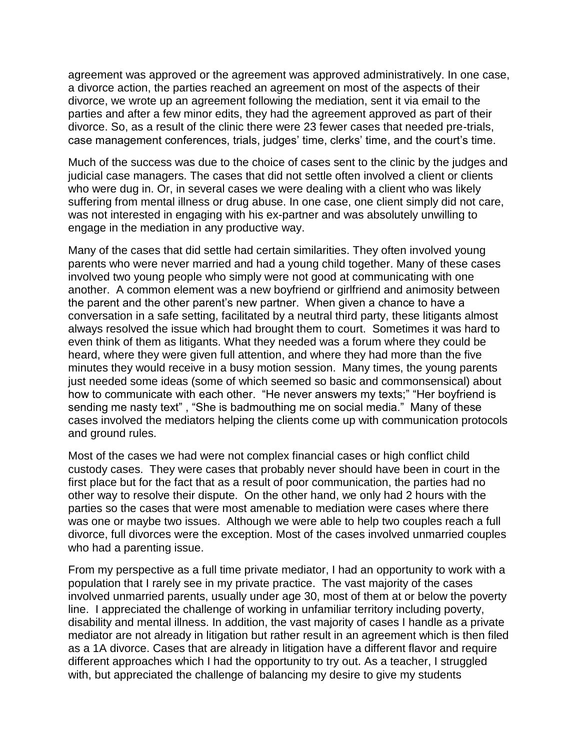agreement was approved or the agreement was approved administratively. In one case, a divorce action, the parties reached an agreement on most of the aspects of their divorce, we wrote up an agreement following the mediation, sent it via email to the parties and after a few minor edits, they had the agreement approved as part of their divorce. So, as a result of the clinic there were 23 fewer cases that needed pre-trials, case management conferences, trials, judges' time, clerks' time, and the court's time.

Much of the success was due to the choice of cases sent to the clinic by the judges and judicial case managers. The cases that did not settle often involved a client or clients who were dug in. Or, in several cases we were dealing with a client who was likely suffering from mental illness or drug abuse. In one case, one client simply did not care, was not interested in engaging with his ex-partner and was absolutely unwilling to engage in the mediation in any productive way.

Many of the cases that did settle had certain similarities. They often involved young parents who were never married and had a young child together. Many of these cases involved two young people who simply were not good at communicating with one another. A common element was a new boyfriend or girlfriend and animosity between the parent and the other parent's new partner. When given a chance to have a conversation in a safe setting, facilitated by a neutral third party, these litigants almost always resolved the issue which had brought them to court. Sometimes it was hard to even think of them as litigants. What they needed was a forum where they could be heard, where they were given full attention, and where they had more than the five minutes they would receive in a busy motion session. Many times, the young parents just needed some ideas (some of which seemed so basic and commonsensical) about how to communicate with each other. "He never answers my texts;" "Her boyfriend is sending me nasty text" , "She is badmouthing me on social media." Many of these cases involved the mediators helping the clients come up with communication protocols and ground rules.

Most of the cases we had were not complex financial cases or high conflict child custody cases. They were cases that probably never should have been in court in the first place but for the fact that as a result of poor communication, the parties had no other way to resolve their dispute. On the other hand, we only had 2 hours with the parties so the cases that were most amenable to mediation were cases where there was one or maybe two issues. Although we were able to help two couples reach a full divorce, full divorces were the exception. Most of the cases involved unmarried couples who had a parenting issue.

From my perspective as a full time private mediator, I had an opportunity to work with a population that I rarely see in my private practice. The vast majority of the cases involved unmarried parents, usually under age 30, most of them at or below the poverty line. I appreciated the challenge of working in unfamiliar territory including poverty, disability and mental illness. In addition, the vast majority of cases I handle as a private mediator are not already in litigation but rather result in an agreement which is then filed as a 1A divorce. Cases that are already in litigation have a different flavor and require different approaches which I had the opportunity to try out. As a teacher, I struggled with, but appreciated the challenge of balancing my desire to give my students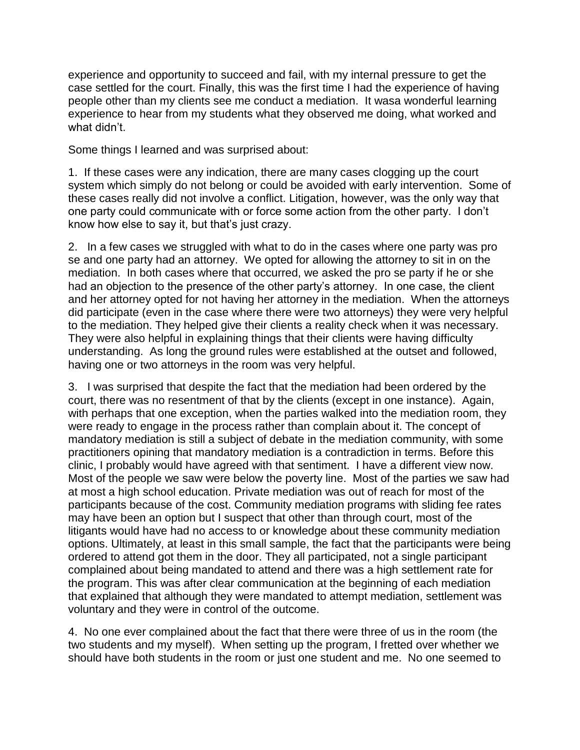experience and opportunity to succeed and fail, with my internal pressure to get the case settled for the court. Finally, this was the first time I had the experience of having people other than my clients see me conduct a mediation. It wasa wonderful learning experience to hear from my students what they observed me doing, what worked and what didn't.

Some things I learned and was surprised about:

1. If these cases were any indication, there are many cases clogging up the court system which simply do not belong or could be avoided with early intervention. Some of these cases really did not involve a conflict. Litigation, however, was the only way that one party could communicate with or force some action from the other party. I don't know how else to say it, but that's just crazy.

2. In a few cases we struggled with what to do in the cases where one party was pro se and one party had an attorney. We opted for allowing the attorney to sit in on the mediation. In both cases where that occurred, we asked the pro se party if he or she had an objection to the presence of the other party's attorney. In one case, the client and her attorney opted for not having her attorney in the mediation. When the attorneys did participate (even in the case where there were two attorneys) they were very helpful to the mediation. They helped give their clients a reality check when it was necessary. They were also helpful in explaining things that their clients were having difficulty understanding. As long the ground rules were established at the outset and followed, having one or two attorneys in the room was very helpful.

3. I was surprised that despite the fact that the mediation had been ordered by the court, there was no resentment of that by the clients (except in one instance). Again, with perhaps that one exception, when the parties walked into the mediation room, they were ready to engage in the process rather than complain about it. The concept of mandatory mediation is still a subject of debate in the mediation community, with some practitioners opining that mandatory mediation is a contradiction in terms. Before this clinic, I probably would have agreed with that sentiment. I have a different view now. Most of the people we saw were below the poverty line. Most of the parties we saw had at most a high school education. Private mediation was out of reach for most of the participants because of the cost. Community mediation programs with sliding fee rates may have been an option but I suspect that other than through court, most of the litigants would have had no access to or knowledge about these community mediation options. Ultimately, at least in this small sample, the fact that the participants were being ordered to attend got them in the door. They all participated, not a single participant complained about being mandated to attend and there was a high settlement rate for the program. This was after clear communication at the beginning of each mediation that explained that although they were mandated to attempt mediation, settlement was voluntary and they were in control of the outcome.

4. No one ever complained about the fact that there were three of us in the room (the two students and my myself). When setting up the program, I fretted over whether we should have both students in the room or just one student and me. No one seemed to